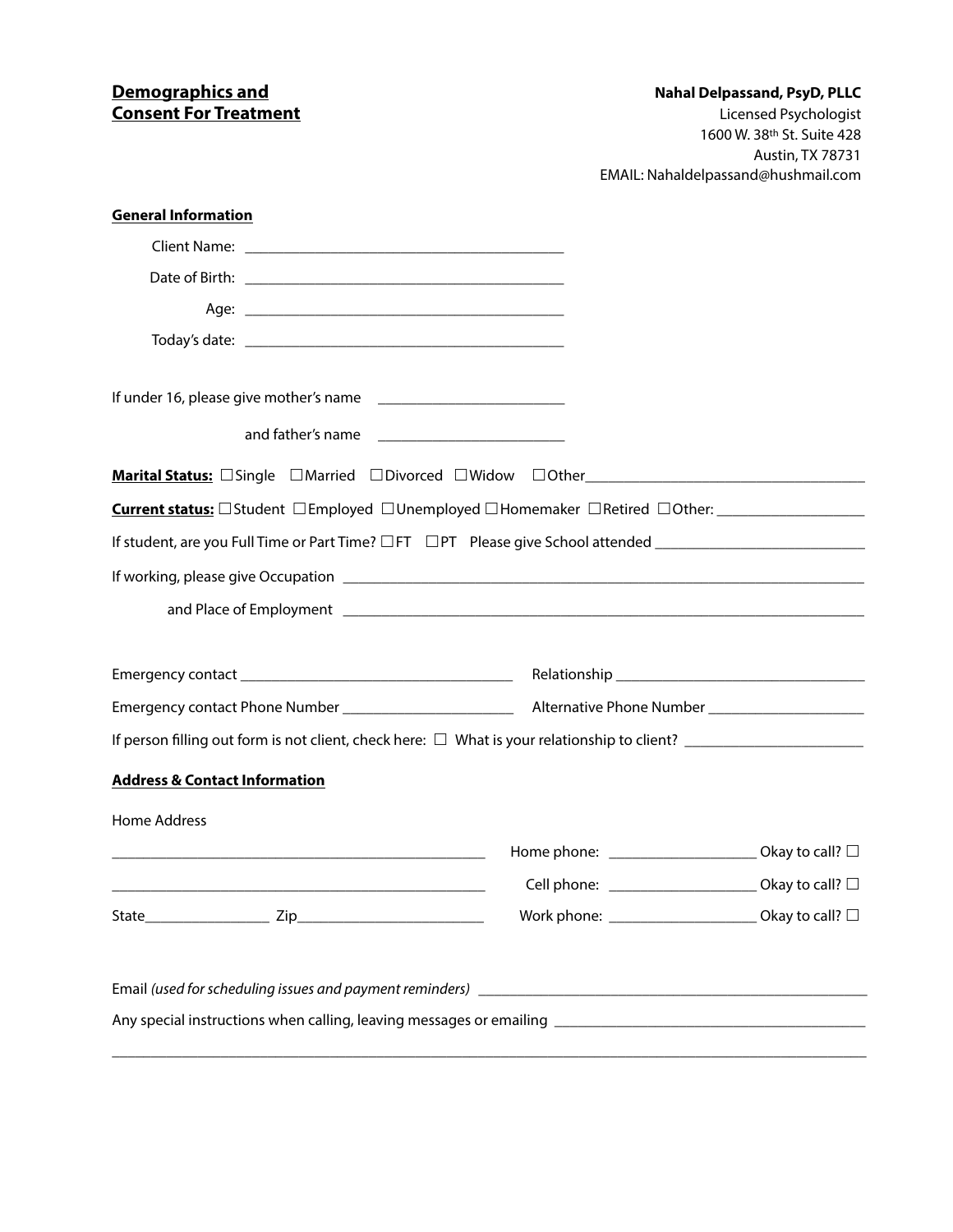## **Consent For Treatment**<br> **Consent For Treatment**<br>
Licensed Psychologist

## **Nahal Delpassand, PsyD, PLLC**

 1600 W. 38th St. Suite 428 Austin, TX 78731 EMAIL: Nahaldelpassand@hushmail.com

| Current status: □Student □Employed □Unemployed □Homemaker □Retired □Other: _______________________<br>Home phone: ________________________ Okay to call? □<br><u> 1980 - Johann Barbara, martxa alemaniar argametar (h. 1980).</u><br>Cell phone: _______________________ Okay to call? □<br>Okay to call? $\square$ | <b>General Information</b>               |  |  |
|----------------------------------------------------------------------------------------------------------------------------------------------------------------------------------------------------------------------------------------------------------------------------------------------------------------------|------------------------------------------|--|--|
|                                                                                                                                                                                                                                                                                                                      |                                          |  |  |
|                                                                                                                                                                                                                                                                                                                      |                                          |  |  |
|                                                                                                                                                                                                                                                                                                                      |                                          |  |  |
|                                                                                                                                                                                                                                                                                                                      |                                          |  |  |
|                                                                                                                                                                                                                                                                                                                      |                                          |  |  |
|                                                                                                                                                                                                                                                                                                                      |                                          |  |  |
|                                                                                                                                                                                                                                                                                                                      |                                          |  |  |
|                                                                                                                                                                                                                                                                                                                      |                                          |  |  |
|                                                                                                                                                                                                                                                                                                                      |                                          |  |  |
|                                                                                                                                                                                                                                                                                                                      |                                          |  |  |
|                                                                                                                                                                                                                                                                                                                      |                                          |  |  |
|                                                                                                                                                                                                                                                                                                                      |                                          |  |  |
|                                                                                                                                                                                                                                                                                                                      |                                          |  |  |
|                                                                                                                                                                                                                                                                                                                      |                                          |  |  |
|                                                                                                                                                                                                                                                                                                                      |                                          |  |  |
|                                                                                                                                                                                                                                                                                                                      | <b>Address &amp; Contact Information</b> |  |  |
|                                                                                                                                                                                                                                                                                                                      | Home Address                             |  |  |
|                                                                                                                                                                                                                                                                                                                      |                                          |  |  |
|                                                                                                                                                                                                                                                                                                                      |                                          |  |  |
|                                                                                                                                                                                                                                                                                                                      |                                          |  |  |
|                                                                                                                                                                                                                                                                                                                      |                                          |  |  |
|                                                                                                                                                                                                                                                                                                                      |                                          |  |  |
|                                                                                                                                                                                                                                                                                                                      |                                          |  |  |